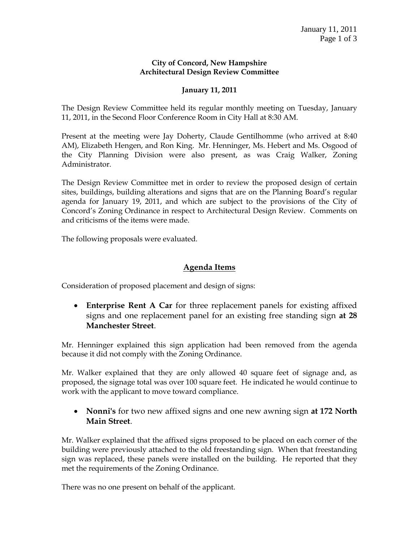#### **City of Concord, New Hampshire Architectural Design Review Committee**

#### **January 11, 2011**

The Design Review Committee held its regular monthly meeting on Tuesday, January 11, 2011, in the Second Floor Conference Room in City Hall at 8:30 AM.

Present at the meeting were Jay Doherty, Claude Gentilhomme (who arrived at 8:40 AM), Elizabeth Hengen, and Ron King. Mr. Henninger, Ms. Hebert and Ms. Osgood of the City Planning Division were also present, as was Craig Walker, Zoning Administrator.

The Design Review Committee met in order to review the proposed design of certain sites, buildings, building alterations and signs that are on the Planning Board's regular agenda for January 19, 2011, and which are subject to the provisions of the City of Concord's Zoning Ordinance in respect to Architectural Design Review. Comments on and criticisms of the items were made.

The following proposals were evaluated.

#### **Agenda Items**

Consideration of proposed placement and design of signs:

 **Enterprise Rent A Car** for three replacement panels for existing affixed signs and one replacement panel for an existing free standing sign **at 28 Manchester Street**.

Mr. Henninger explained this sign application had been removed from the agenda because it did not comply with the Zoning Ordinance.

Mr. Walker explained that they are only allowed 40 square feet of signage and, as proposed, the signage total was over 100 square feet. He indicated he would continue to work with the applicant to move toward compliance.

 **Nonni's** for two new affixed signs and one new awning sign **at 172 North Main Street**.

Mr. Walker explained that the affixed signs proposed to be placed on each corner of the building were previously attached to the old freestanding sign. When that freestanding sign was replaced, these panels were installed on the building. He reported that they met the requirements of the Zoning Ordinance.

There was no one present on behalf of the applicant.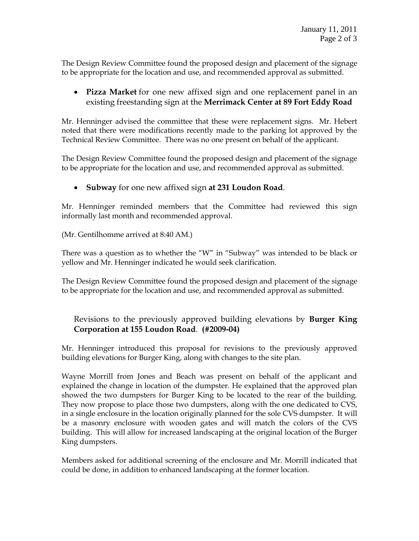The Design Review Committee found the proposed design and placement of the signage to be appropriate for the location and use, and recommended approval as submitted.

# **Pizza Market** for one new affixed sign and one replacement panel in an existing freestanding sign at the **Merrimack Center at 89 Fort Eddy Road**

Mr. Henninger advised the committee that these were replacement signs. Mr. Hebert noted that there were modifications recently made to the parking lot approved by the Technical Review Committee. There was no one present on behalf of the applicant.

The Design Review Committee found the proposed design and placement of the signage to be appropriate for the location and use, and recommended approval as submitted.

# **Subway** for one new affixed sign **at 231 Loudon Road**.

Mr. Henninger reminded members that the Committee had reviewed this sign informally last month and recommended approval.

(Mr. Gentilhomme arrived at 8:40 AM.)

There was a question as to whether the "W" in "Subway" was intended to be black or yellow and Mr. Henninger indicated he would seek clarification.

The Design Review Committee found the proposed design and placement of the signage to be appropriate for the location and use, and recommended approval as submitted.

# Revisions to the previously approved building elevations by **Burger King Corporation at 155 Loudon Road**. **(#2009-04)**

Mr. Henninger introduced this proposal for revisions to the previously approved building elevations for Burger King, along with changes to the site plan.

Wayne Morrill from Jones and Beach was present on behalf of the applicant and explained the change in location of the dumpster. He explained that the approved plan showed the two dumpsters for Burger King to be located to the rear of the building. They now propose to place those two dumpsters, along with the one dedicated to CVS, in a single enclosure in the location originally planned for the sole CVS dumpster. It will be a masonry enclosure with wooden gates and will match the colors of the CVS building. This will allow for increased landscaping at the original location of the Burger King dumpsters.

Members asked for additional screening of the enclosure and Mr. Morrill indicated that could be done, in addition to enhanced landscaping at the former location.